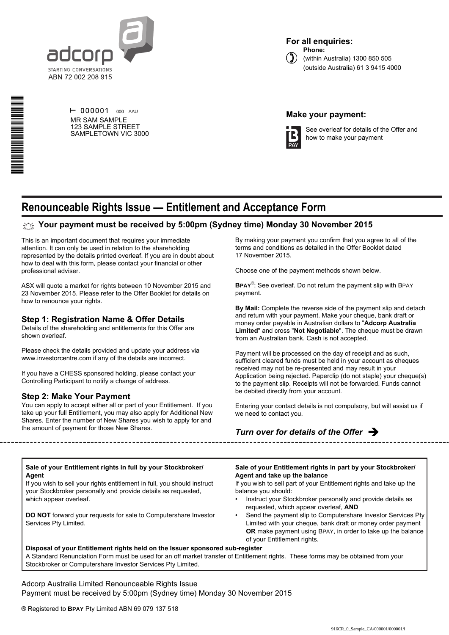

**For all enquiries: Phone:**



(within Australia) 1300 850 505 (outside Australia) 61 3 9415 4000

# \*S000001Q01\*

 $\vdash$  000001 000 AAU MR SAM SAMPLE 123 SAMPLE STREET SAMPLETOWN VIC 3000

# **Make your payment:**



See overleaf for details of the Offer and how to make your payment

# **Renounceable Rights Issue — Entitlement and Acceptance Form**

# **Your payment must be received by 5:00pm (Sydney time) Monday 30 November 2015**

This is an important document that requires your immediate attention. It can only be used in relation to the shareholding represented by the details printed overleaf. If you are in doubt about how to deal with this form, please contact your financial or other professional adviser.

ASX will quote a market for rights between 10 November 2015 and 23 November 2015. Please refer to the Offer Booklet for details on how to renounce your rights.

# **Step 1: Registration Name & Offer Details**

Details of the shareholding and entitlements for this Offer are shown overleaf.

Please check the details provided and update your address via www.investorcentre.com if any of the details are incorrect.

If you have a CHESS sponsored holding, please contact your Controlling Participant to notify a change of address.

# **Step 2: Make Your Payment**

You can apply to accept either all or part of your Entitlement. If you take up your full Entitlement, you may also apply for Additional New Shares. Enter the number of New Shares you wish to apply for and the amount of payment for those New Shares.

By making your payment you confirm that you agree to all of the terms and conditions as detailed in the Offer Booklet dated 17 November 2015.

Choose one of the payment methods shown below.

**BPAY**® : See overleaf. Do not return the payment slip with BPAY payment.

**By Mail:** Complete the reverse side of the payment slip and detach and return with your payment. Make your cheque, bank draft or money order payable in Australian dollars to "**Adcorp Australia Limited**" and cross "**Not Negotiable**". The cheque must be drawn from an Australian bank. Cash is not accepted.

Payment will be processed on the day of receipt and as such, sufficient cleared funds must be held in your account as cheques received may not be re-presented and may result in your Application being rejected. Paperclip (do not staple) your cheque(s) to the payment slip. Receipts will not be forwarded. Funds cannot be debited directly from your account.

Entering your contact details is not compulsory, but will assist us if we need to contact you.

# *Turn over for details of the Offer* è

### **Sale of your Entitlement rights in full by your Stockbroker/ Agent**

If you wish to sell your rights entitlement in full, you should instruct your Stockbroker personally and provide details as requested, which appear overleaf.

**DO NOT** forward your requests for sale to Computershare Investor Services Pty Limited.

**Sale of your Entitlement rights in part by your Stockbroker/ Agent and take up the balance**

If you wish to sell part of your Entitlement rights and take up the balance you should:

- Instruct your Stockbroker personally and provide details as requested, which appear overleaf, **AND**
- Send the payment slip to Computershare Investor Services Pty Limited with your cheque, bank draft or money order payment **OR** make payment using BPAY, in order to take up the balance of your Entitlement rights.

**Disposal of your Entitlement rights held on the Issuer sponsored sub-register** A Standard Renunciation Form must be used for an off market transfer of Entitlement rights. These forms may be obtained from your Stockbroker or Computershare Investor Services Pty Limited.

Adcorp Australia Limited Renounceable Rights Issue Payment must be received by 5:00pm (Sydney time) Monday 30 November 2015

® Registered to **BPAY** Pty Limited ABN 69 079 137 518

### 916CR\_0\_Sample\_CA/000001/000001/i